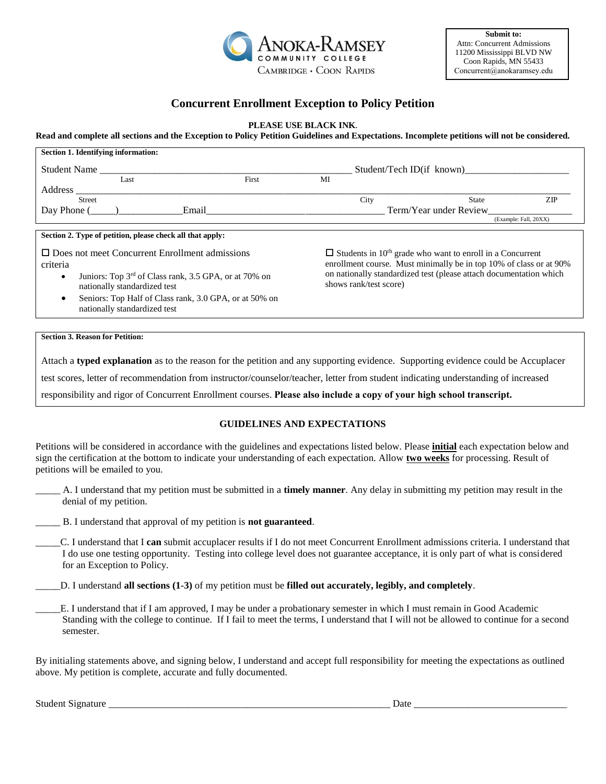

**Submit to:**  Attn: Concurrent Admissions [11200 Mississippi BLVD NW](mailto:Concurrent@anokaramsey.edu)  Coon Rapids, MN 55433 Concurrent@anokaramsey.edu

# **Concurrent Enrollment Exception to Policy Petition**

### **PLEASE USE BLACK INK.**

#### **Read and complete all sections and the Exception to Policy Petition Guidelines and Expectations. Incomplete petitions will not be considered.**

| Section 1. Identifying information:                                                                                                                                                                                                              |       |                                                                                                                                                                                                                                                    |       |                       |
|--------------------------------------------------------------------------------------------------------------------------------------------------------------------------------------------------------------------------------------------------|-------|----------------------------------------------------------------------------------------------------------------------------------------------------------------------------------------------------------------------------------------------------|-------|-----------------------|
| <b>Student Name</b>                                                                                                                                                                                                                              |       | Student/Tech ID(if known)                                                                                                                                                                                                                          |       |                       |
| Last                                                                                                                                                                                                                                             | First | MI                                                                                                                                                                                                                                                 |       |                       |
| Address                                                                                                                                                                                                                                          |       |                                                                                                                                                                                                                                                    |       |                       |
| <b>Street</b>                                                                                                                                                                                                                                    |       | City                                                                                                                                                                                                                                               | State | ZIP                   |
| Day Phone (<br>Email                                                                                                                                                                                                                             |       | Term/Year under Review                                                                                                                                                                                                                             |       |                       |
|                                                                                                                                                                                                                                                  |       |                                                                                                                                                                                                                                                    |       | (Example: Fall, 20XX) |
| Section 2. Type of petition, please check all that apply:<br>$\Box$ Does not meet Concurrent Enrollment admissions<br>criteria<br>Juniors: Top 3 <sup>rd</sup> of Class rank, 3.5 GPA, or at 70% on<br>$\bullet$<br>nationally standardized test |       | $\Box$ Students in 10 <sup>th</sup> grade who want to enroll in a Concurrent<br>enrollment course. Must minimally be in top 10% of class or at 90%<br>on nationally standardized test (please attach documentation which<br>shows rank/test score) |       |                       |
| Seniors: Top Half of Class rank, 3.0 GPA, or at 50% on<br>nationally standardized test                                                                                                                                                           |       |                                                                                                                                                                                                                                                    |       |                       |

#### **Section 3. Reason for Petition:**

Attach a **typed explanation** as to the reason for the petition and any supporting evidence. Supporting evidence could be Accuplacer

test scores, letter of recommendation from instructor/counselor/teacher, letter from student indicating understanding of increased

responsibility and rigor of Concurrent Enrollment courses. **Please also include a copy of your high school transcript.**

## **GUIDELINES AND EXPECTATIONS**

Petitions will be considered in accordance with the guidelines and expectations listed below. Please **initial** each expectation below and sign the certification at the bottom to indicate your understanding of each expectation. Allow **two weeks** for processing. Result of petitions will be emailed to you.

\_\_\_\_\_ A. I understand that my petition must be submitted in a **timely manner**. Any delay in submitting my petition may result in the denial of my petition.

\_\_\_\_\_ B. I understand that approval of my petition is **not guaranteed**.

\_\_\_\_\_C. I understand that I **can** submit accuplacer results if I do not meet Concurrent Enrollment admissions criteria. I understand that I do use one testing opportunity. Testing into college level does not guarantee acceptance, it is only part of what is considered for an Exception to Policy.

\_\_\_\_\_D. I understand **all sections (1-3)** of my petition must be **filled out accurately, legibly, and completely**.

\_\_\_\_\_E. I understand that if I am approved, I may be under a probationary semester in which I must remain in Good Academic Standing with the college to continue. If I fail to meet the terms, I understand that I will not be allowed to continue for a second semester.

By initialing statements above, and signing below, I understand and accept full responsibility for meeting the expectations as outlined above. My petition is complete, accurate and fully documented.

Student Signature **Date and Student Signature** and  $\overline{a}$  Date  $\overline{b}$